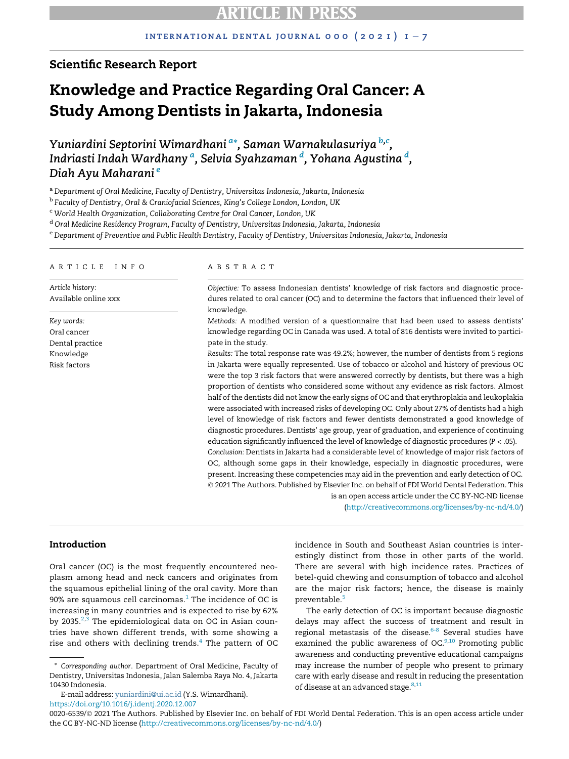## Scientific Research Report

# Knowledge and Practice Regarding Oral Cancer: A Study Among Dentists in Jakarta, Indonesia

Yuni[a](#page-0-0)rdini Septorini Wimardhani <sup>a</sup>[\\*,](#page-0-1) Saman Warnakulasuriya <sup>[b](#page-0-2),[c](#page-0-3)</sup>, Indri[a](#page-0-0)sti In[d](#page-0-4)ah Wardhany <sup>a</sup>, Selvia Syahzaman <sup>d</sup>, Yohana Agustina <sup>d</sup>, Diah Ayu Maharani [e](#page-0-5)

<span id="page-0-0"></span>a Department of Oral Medicine, Faculty of Dentistry, Universitas Indonesia, Jakarta, Indonesia

<span id="page-0-2"></span><sup>b</sup> Faculty of Dentistry, Oral & Craniofacial Sciences, King's College London, London, UK

<span id="page-0-3"></span><sup>c</sup> World Health Organization, Collaborating Centre for Oral Cancer, London, UK

<span id="page-0-4"></span><sup>d</sup> Oral Medicine Residency Program, Faculty of Dentistry, Universitas Indonesia, Jakarta, Indonesia

<span id="page-0-5"></span>e Department of Preventive and Public Health Dentistry, Faculty of Dentistry, Universitas Indonesia, Jakarta, Indonesia

#### ARTICLE INFO

Article history: Available online xxx

Key words: Oral cancer Dental practice Knowledge Risk factors

#### ABSTRACT

Objective: To assess Indonesian dentists' knowledge of risk factors and diagnostic procedures related to oral cancer (OC) and to determine the factors that influenced their level of knowledge.

Methods: A modified version of a questionnaire that had been used to assess dentists' knowledge regarding OC in Canada was used. A total of 816 dentists were invited to participate in the study.

Results: The total response rate was 49.2%; however, the number of dentists from 5 regions in Jakarta were equally represented. Use of tobacco or alcohol and history of previous OC were the top 3 risk factors that were answered correctly by dentists, but there was a high proportion of dentists who considered some without any evidence as risk factors. Almost half of the dentists did not know the early signs of OC and that erythroplakia and leukoplakia were associated with increased risks of developing OC. Only about 27% of dentists had a high level of knowledge of risk factors and fewer dentists demonstrated a good knowledge of diagnostic procedures. Dentists' age group, year of graduation, and experience of continuing education significantly influenced the level of knowledge of diagnostic procedures ( $P < .05$ ). Conclusion: Dentists in Jakarta had a considerable level of knowledge of major risk factors of OC, although some gaps in their knowledge, especially in diagnostic procedures, were present. Increasing these competencies may aid in the prevention and early detection of OC. 2021 The Authors. Published by Elsevier Inc. on behalf of FDI World Dental Federation. This is an open access article under the CC BY-NC-ND license

([http://creativecommons.org/licenses/by-nc-nd/4.0/\)](http://creativecommons.org/licenses/by-nc-nd/4.0/)

## Introduction

Oral cancer (OC) is the most frequently encountered neoplasm among head and neck cancers and originates from the squamous epithelial lining of the oral cavity. More than 90% are squamous cell carcinomas. $1$  The incidence of OC is increasing in many countries and is expected to rise by 62% by [2](#page-5-1)0[3](#page-5-2)5. $2,3$  The epidemiological data on OC in Asian countries have shown different trends, with some showing a rise and others with declining trends. $4$  The pattern of OC

E-mail address: [yuniardini@ui.ac.id](mailto:yuniardini@ui.ac.id) (Y.S. Wimardhani). <https://doi.org/10.1016/j.identj.2020.12.007>

incidence in South and Southeast Asian countries is interestingly distinct from those in other parts of the world. There are several with high incidence rates. Practices of betel-quid chewing and consumption of tobacco and alcohol are the major risk factors; hence, the disease is mainly preventable.<sup>[5](#page-5-4)</sup>

The early detection of OC is important because diagnostic delays may affect the success of treatment and result in regional metastasis of the disease.<sup>[6-8](#page-5-5)</sup> Several studies have examined the public awareness of OC. $9,10$  $9,10$  Promoting public awareness and conducting preventive educational campaigns may increase the number of people who present to primary care with early disease and result in reducing the presentation of disease at an advanced stage.<sup>[8](#page-5-8)[,11](#page-5-9)</sup>

<span id="page-0-1"></span><sup>\*</sup> Corresponding author. Department of Oral Medicine, Faculty of Dentistry, Universitas Indonesia, Jalan Salemba Raya No. 4, Jakarta 10430 Indonesia.

<sup>0020-6539/© 2021</sup> The Authors. Published by Elsevier Inc. on behalf of FDI World Dental Federation. This is an open access article under the CC BY-NC-ND license ([http://creativecommons.org/licenses/by-nc-nd/4.0/\)](http://creativecommons.org/licenses/by-nc-nd/4.0/)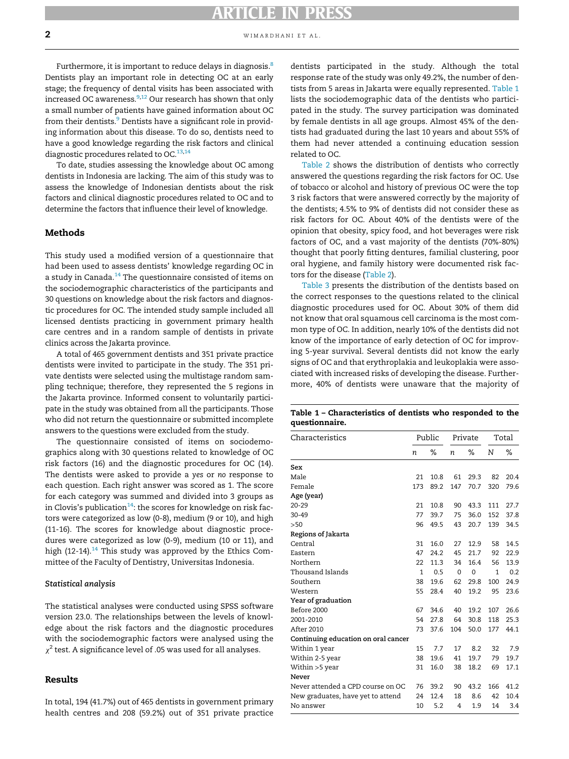Furthermore, it is important to reduce delays in diagnosis.<sup>8</sup> Dentists play an important role in detecting OC at an early stage; the frequency of dental visits has been associated with increased OC awareness. $9,12$  $9,12$  $9,12$  Our research has shown that only a small number of patients have gained information about OC from their dentists.<sup>[9](#page-5-6)</sup> Dentists have a significant role in providing information about this disease. To do so, dentists need to have a good knowledge regarding the risk factors and clinical diagnostic procedures related to  $OC^{13,14}$  $OC^{13,14}$  $OC^{13,14}$ 

To date, studies assessing the knowledge about OC among dentists in Indonesia are lacking. The aim of this study was to assess the knowledge of Indonesian dentists about the risk factors and clinical diagnostic procedures related to OC and to determine the factors that influence their level of knowledge.

## Methods

This study used a modified version of a questionnaire that had been used to assess dentists' knowledge regarding OC in a study in Canada. $^{14}$  $^{14}$  $^{14}$  The questionnaire consisted of items on the sociodemographic characteristics of the participants and 30 questions on knowledge about the risk factors and diagnostic procedures for OC. The intended study sample included all licensed dentists practicing in government primary health care centres and in a random sample of dentists in private clinics across the Jakarta province.

A total of 465 government dentists and 351 private practice dentists were invited to participate in the study. The 351 private dentists were selected using the multistage random sampling technique; therefore, they represented the 5 regions in the Jakarta province. Informed consent to voluntarily participate in the study was obtained from all the participants. Those who did not return the questionnaire or submitted incomplete answers to the questions were excluded from the study.

<span id="page-1-0"></span>The questionnaire consisted of items on sociodemographics along with 30 questions related to knowledge of OC risk factors (16) and the diagnostic procedures for OC (14). The dentists were asked to provide a yes or no response to each question. Each right answer was scored as 1. The score for each category was summed and divided into 3 groups as in Clovis's publication<sup>14</sup>: the scores for knowledge on risk factors were categorized as low (0-8), medium (9 or 10), and high (11-16). The scores for knowledge about diagnostic procedures were categorized as low (0-9), medium (10 or 11), and high (12-[14](#page-5-12)).<sup>14</sup> This study was approved by the Ethics Committee of the Faculty of Dentistry, Universitas Indonesia.

#### Statistical analysis

The statistical analyses were conducted using SPSS software version 23.0. The relationships between the levels of knowledge about the risk factors and the diagnostic procedures with the sociodemographic factors were analysed using the  $\chi^2$  test. A significance level of .05 was used for all analyses.

### Results

In total, 194 (41.7%) out of 465 dentists in government primary health centres and 208 (59.2%) out of 351 private practice dentists participated in the study. Although the total response rate of the study was only 49.2%, the number of dentists from 5 areas in Jakarta were equally represented. [Table 1](#page-1-0) lists the sociodemographic data of the dentists who participated in the study. The survey participation was dominated by female dentists in all age groups. Almost 45% of the dentists had graduated during the last 10 years and about 55% of them had never attended a continuing education session related to OC.

[Table 2](#page-2-0) shows the distribution of dentists who correctly answered the questions regarding the risk factors for OC. Use of tobacco or alcohol and history of previous OC were the top 3 risk factors that were answered correctly by the majority of the dentists; 4.5% to 9% of dentists did not consider these as risk factors for OC. About 40% of the dentists were of the opinion that obesity, spicy food, and hot beverages were risk factors of OC, and a vast majority of the dentists (70%-80%) thought that poorly fitting dentures, familial clustering, poor oral hygiene, and family history were documented risk factors for the disease [\(Table 2](#page-2-0)).

[Table 3](#page-2-1) presents the distribution of the dentists based on the correct responses to the questions related to the clinical diagnostic procedures used for OC. About 30% of them did not know that oral squamous cell carcinoma is the most common type of OC. In addition, nearly 10% of the dentists did not know of the importance of early detection of OC for improving 5-year survival. Several dentists did not know the early signs of OC and that erythroplakia and leukoplakia were associated with increased risks of developing the disease. Furthermore, 40% of dentists were unaware that the majority of

|                | Table 1 – Characteristics of dentists who responded to the |  |  |  |
|----------------|------------------------------------------------------------|--|--|--|
| questionnaire. |                                                            |  |  |  |

| Characteristics                     | Public       |      |     | Private  | Total        |      |  |
|-------------------------------------|--------------|------|-----|----------|--------------|------|--|
|                                     | n            | ℅    | n   | ℅        | N            | %    |  |
| Sex                                 |              |      |     |          |              |      |  |
| Male                                | 21           | 10.8 | 61  | 29.3     | 82           | 20.4 |  |
| Female                              | 173          | 89.2 | 147 | 70.7     | 320          | 79.6 |  |
| Age (year)                          |              |      |     |          |              |      |  |
| $20 - 29$                           | 21           | 10.8 | 90  | 43.3     | 111          | 27.7 |  |
| $30 - 49$                           | 77           | 39.7 | 75  | 36.0     | 152          | 37.8 |  |
| >50                                 | 96           | 49.5 | 43  | 20.7     | 139          | 34.5 |  |
| Regions of Jakarta                  |              |      |     |          |              |      |  |
| Central                             | 31           | 16.0 | 27  | 12.9     | 58           | 14.5 |  |
| Eastern                             | 47           | 24.2 | 45  | 21.7     | 92           | 22.9 |  |
| Northern                            | 22           | 11.3 | 34  | 16.4     | 56           | 13.9 |  |
| Thousand Islands                    | $\mathbf{1}$ | 0.5  | 0   | $\Omega$ | $\mathbf{1}$ | 0.2  |  |
| Southern                            | 38           | 19.6 | 62  | 29.8     | 100          | 24.9 |  |
| Western                             | 55           | 28.4 | 40  | 19.2     | 95           | 23.6 |  |
| Year of graduation                  |              |      |     |          |              |      |  |
| Before 2000                         | 67           | 34.6 | 40  | 19.2     | 107          | 26.6 |  |
| 2001-2010                           | 54           | 27.8 | 64  | 30.8     | 118          | 25.3 |  |
| After 2010                          | 73           | 37.6 | 104 | 50.0     | 177          | 44.1 |  |
| Continuing education on oral cancer |              |      |     |          |              |      |  |
| Within 1 year                       | 15           | 7.7  | 17  | 8.2      | 32           | 7.9  |  |
| Within 2-5 year                     | 38           | 19.6 | 41  | 19.7     | 79           | 19.7 |  |
| Within >5 year                      | 31           | 16.0 | 38  | 18.2     | 69           | 17.1 |  |
| Never                               |              |      |     |          |              |      |  |
| Never attended a CPD course on OC   | 76           | 39.2 | 90  | 43.2     | 166          | 41.2 |  |
| New graduates, have yet to attend   | 24           | 12.4 | 18  | 8.6      | 42           | 10.4 |  |
| No answer                           | 10           | 5.2  | 4   | 1.9      | 14           | 3.4  |  |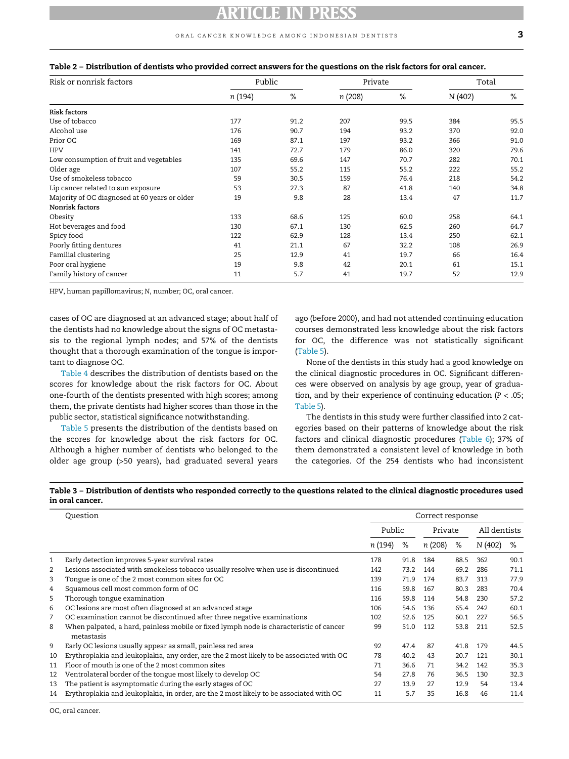#### oral cancer knowledge among indonesian dentists 3

|  |  | Table 2 – Distribution of dentists who provided correct answers for the questions on the risk factors for oral cancer. |
|--|--|------------------------------------------------------------------------------------------------------------------------|
|--|--|------------------------------------------------------------------------------------------------------------------------|

<span id="page-2-0"></span>

| Risk or nonrisk factors                       | Public  |      | Private |      | Total   |      |
|-----------------------------------------------|---------|------|---------|------|---------|------|
|                                               | n (194) | %    | n (208) | %    | N (402) | %    |
| Risk factors                                  |         |      |         |      |         |      |
| Use of tobacco                                | 177     | 91.2 | 207     | 99.5 | 384     | 95.5 |
| Alcohol use                                   | 176     | 90.7 | 194     | 93.2 | 370     | 92.0 |
| Prior OC                                      | 169     | 87.1 | 197     | 93.2 | 366     | 91.0 |
| <b>HPV</b>                                    | 141     | 72.7 | 179     | 86.0 | 320     | 79.6 |
| Low consumption of fruit and vegetables       | 135     | 69.6 | 147     | 70.7 | 282     | 70.1 |
| Older age                                     | 107     | 55.2 | 115     | 55.2 | 222     | 55.2 |
| Use of smokeless tobacco                      | 59      | 30.5 | 159     | 76.4 | 218     | 54.2 |
| Lip cancer related to sun exposure            | 53      | 27.3 | 87      | 41.8 | 140     | 34.8 |
| Majority of OC diagnosed at 60 years or older | 19      | 9.8  | 28      | 13.4 | 47      | 11.7 |
| Nonrisk factors                               |         |      |         |      |         |      |
| Obesity                                       | 133     | 68.6 | 125     | 60.0 | 258     | 64.1 |
| Hot beverages and food                        | 130     | 67.1 | 130     | 62.5 | 260     | 64.7 |
| Spicy food                                    | 122     | 62.9 | 128     | 13.4 | 250     | 62.1 |
| Poorly fitting dentures                       | 41      | 21.1 | 67      | 32.2 | 108     | 26.9 |
| Familial clustering                           | 25      | 12.9 | 41      | 19.7 | 66      | 16.4 |
| Poor oral hygiene                             | 19      | 9.8  | 42      | 20.1 | 61      | 15.1 |
| Family history of cancer                      | 11      | 5.7  | 41      | 19.7 | 52      | 12.9 |

HPV, human papillomavirus; N, number; OC, oral cancer.

cases of OC are diagnosed at an advanced stage; about half of the dentists had no knowledge about the signs of OC metastasis to the regional lymph nodes; and 57% of the dentists thought that a thorough examination of the tongue is important to diagnose OC.

[Table 4](#page-3-0) describes the distribution of dentists based on the scores for knowledge about the risk factors for OC. About one-fourth of the dentists presented with high scores; among them, the private dentists had higher scores than those in the public sector, statistical significance notwithstanding.

[Table 5](#page-3-1) presents the distribution of the dentists based on the scores for knowledge about the risk factors for OC. Although a higher number of dentists who belonged to the older age group (>50 years), had graduated several years

ago (before 2000), and had not attended continuing education courses demonstrated less knowledge about the risk factors for OC, the difference was not statistically significant [\(Table 5](#page-3-1)).

None of the dentists in this study had a good knowledge on the clinical diagnostic procedures in OC. Significant differences were observed on analysis by age group, year of graduation, and by their experience of continuing education  $(P < .05)$ ; [Table 5](#page-3-1)).

The dentists in this study were further classified into 2 categories based on their patterns of knowledge about the risk factors and clinical diagnostic procedures [\(Table 6\)](#page-4-0); 37% of them demonstrated a consistent level of knowledge in both the categories. Of the 254 dentists who had inconsistent

<span id="page-2-1"></span>Table 3 – Distribution of dentists who responded correctly to the questions related to the clinical diagnostic procedures used in oral cancer.

|    | Question                                                                                             | Correct response |      |         |      |              |      |  |  |
|----|------------------------------------------------------------------------------------------------------|------------------|------|---------|------|--------------|------|--|--|
|    |                                                                                                      | Public           |      | Private |      | All dentists |      |  |  |
|    |                                                                                                      | n (194)          | %    | n (208) | %    | N (402)      | ℅    |  |  |
| 1  | Early detection improves 5-year survival rates                                                       | 178              | 91.8 | 184     | 88.5 | 362          | 90.1 |  |  |
| 2  | Lesions associated with smokeless tobacco usually resolve when use is discontinued                   | 142              | 73.2 | 144     | 69.2 | 286          | 71.1 |  |  |
| 3  | Tongue is one of the 2 most common sites for OC                                                      | 139              | 71.9 | 174     | 83.7 | 313          | 77.9 |  |  |
| 4  | Squamous cell most common form of OC                                                                 | 116              | 59.8 | 167     | 80.3 | 283          | 70.4 |  |  |
| 5  | Thorough tongue examination                                                                          | 116              | 59.8 | 114     | 54.8 | 230          | 57.2 |  |  |
| 6  | OC lesions are most often diagnosed at an advanced stage                                             | 106              | 54.6 | 136     | 65.4 | 242          | 60.1 |  |  |
| 7  | OC examination cannot be discontinued after three negative examinations                              | 102              | 52.6 | 125     | 60.1 | 227          | 56.5 |  |  |
| 8  | When palpated, a hard, painless mobile or fixed lymph node is characteristic of cancer<br>metastasis | 99               | 51.0 | 112     | 53.8 | 211          | 52.5 |  |  |
| 9  | Early OC lesions usually appear as small, painless red area                                          | 92               | 47.4 | 87      | 41.8 | 179          | 44.5 |  |  |
| 10 | Erythroplakia and leukoplakia, any order, are the 2 most likely to be associated with OC             | 78               | 40.2 | 43      | 20.7 | 121          | 30.1 |  |  |
| 11 | Floor of mouth is one of the 2 most common sites                                                     | 71               | 36.6 | 71      | 34.2 | 142          | 35.3 |  |  |
| 12 | Ventrolateral border of the tongue most likely to develop OC                                         | 54               | 27.8 | 76      | 36.5 | 130          | 32.3 |  |  |
| 13 | The patient is asymptomatic during the early stages of OC                                            | 27               | 13.9 | 27      | 12.9 | 54           | 13.4 |  |  |
| 14 | Erythroplakia and leukoplakia, in order, are the 2 most likely to be associated with OC              | 11               | 5.7  | 35      | 16.8 | 46           | 11.4 |  |  |

OC, oral cancer.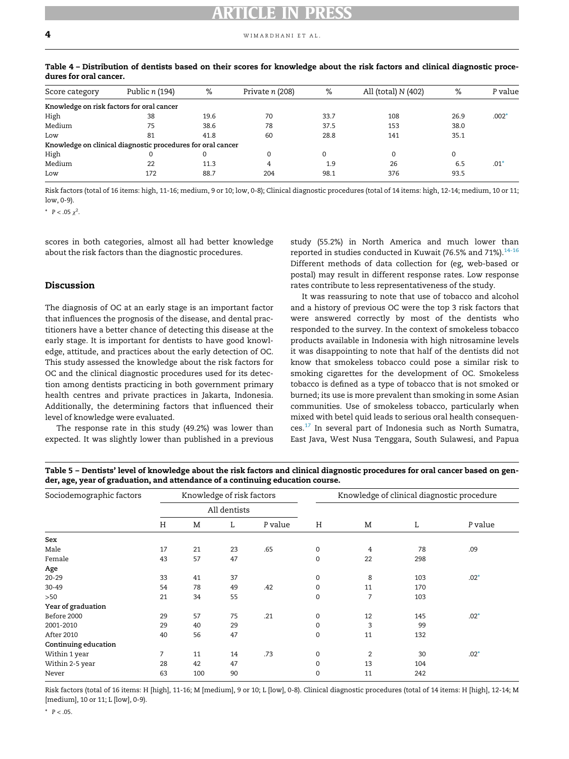| Score category                            | Public n (194)                                              | %    | Private n (208) | %        | All (total) N (402) | ℅    | P value |
|-------------------------------------------|-------------------------------------------------------------|------|-----------------|----------|---------------------|------|---------|
| Knowledge on risk factors for oral cancer |                                                             |      |                 |          |                     |      |         |
| High                                      | 38                                                          | 19.6 | 70              | 33.7     | 108                 | 26.9 | $.002*$ |
| Medium                                    | 75                                                          | 38.6 | 78              | 37.5     | 153                 | 38.0 |         |
| Low                                       | 81                                                          | 41.8 | 60              | 28.8     | 141                 | 35.1 |         |
|                                           | Knowledge on clinical diagnostic procedures for oral cancer |      |                 |          |                     |      |         |
| High                                      |                                                             | 0    |                 | $\Omega$ |                     | 0    |         |
| Medium                                    | 22                                                          | 11.3 |                 | 1.9      | 26                  | 6.5  | $.01*$  |
| Low                                       | 172                                                         | 88.7 | 204             | 98.1     | 376                 | 93.5 |         |

<span id="page-3-0"></span>Table 4 – Distribution of dentists based on their scores for knowledge about the risk factors and clinical diagnostic procedures for oral cancer.

<span id="page-3-2"></span>Risk factors (total of 16 items: high, 11-16; medium, 9 or 10; low, 0-8); Clinical diagnostic procedures (total of 14 items: high, 12-14; medium, 10 or 11; low, 0-9).

\*  $P < .05 \chi^2$ .

scores in both categories, almost all had better knowledge about the risk factors than the diagnostic procedures.

#### Discussion

The diagnosis of OC at an early stage is an important factor that influences the prognosis of the disease, and dental practitioners have a better chance of detecting this disease at the early stage. It is important for dentists to have good knowledge, attitude, and practices about the early detection of OC. This study assessed the knowledge about the risk factors for OC and the clinical diagnostic procedures used for its detection among dentists practicing in both government primary health centres and private practices in Jakarta, Indonesia. Additionally, the determining factors that influenced their level of knowledge were evaluated.

The response rate in this study (49.2%) was lower than expected. It was slightly lower than published in a previous

study (55.2%) in North America and much lower than reported in studies conducted in Kuwait (76.5% and 71%).<sup>[14-16](#page-5-12)</sup> Different methods of data collection for (eg, web-based or postal) may result in different response rates. Low response rates contribute to less representativeness of the study.

It was reassuring to note that use of tobacco and alcohol and a history of previous OC were the top 3 risk factors that were answered correctly by most of the dentists who responded to the survey. In the context of smokeless tobacco products available in Indonesia with high nitrosamine levels it was disappointing to note that half of the dentists did not know that smokeless tobacco could pose a similar risk to smoking cigarettes for the development of OC. Smokeless tobacco is defined as a type of tobacco that is not smoked or burned; its use is more prevalent than smoking in some Asian communities. Use of smokeless tobacco, particularly when mixed with betel quid leads to serious oral health consequen- $\cos$ <sup>[17](#page-5-13)</sup> In several part of Indonesia such as North Sumatra, East Java, West Nusa Tenggara, South Sulawesi, and Papua

<span id="page-3-1"></span>

| Table 5 – Dentists' level of knowledge about the risk factors and clinical diagnostic procedures for oral cancer based on gen- |  |
|--------------------------------------------------------------------------------------------------------------------------------|--|
| der, age, year of graduation, and attendance of a continuing education course.                                                 |  |

| Sociodemographic factors | Knowledge of risk factors<br>All dentists |     |    |         | Knowledge of clinical diagnostic procedure |                |     |         |  |  |
|--------------------------|-------------------------------------------|-----|----|---------|--------------------------------------------|----------------|-----|---------|--|--|
|                          |                                           |     |    |         |                                            |                |     |         |  |  |
|                          | Η                                         | M   | L  | P value | Н                                          | M              | L   | P value |  |  |
| Sex                      |                                           |     |    |         |                                            |                |     |         |  |  |
| Male                     | 17                                        | 21  | 23 | .65     | 0                                          | 4              | 78  | .09     |  |  |
| Female                   | 43                                        | 57  | 47 |         | 0                                          | 22             | 298 |         |  |  |
| Age                      |                                           |     |    |         |                                            |                |     |         |  |  |
| $20 - 29$                | 33                                        | 41  | 37 |         | 0                                          | 8              | 103 | $.02*$  |  |  |
| 30-49                    | 54                                        | 78  | 49 | .42     | $\Omega$                                   | 11             | 170 |         |  |  |
| >50                      | 21                                        | 34  | 55 |         | 0                                          | 7              | 103 |         |  |  |
| Year of graduation       |                                           |     |    |         |                                            |                |     |         |  |  |
| Before 2000              | 29                                        | 57  | 75 | .21     | 0                                          | 12             | 145 | $.02*$  |  |  |
| 2001-2010                | 29                                        | 40  | 29 |         | 0                                          | 3              | 99  |         |  |  |
| <b>After 2010</b>        | 40                                        | 56  | 47 |         | 0                                          | 11             | 132 |         |  |  |
| Continuing education     |                                           |     |    |         |                                            |                |     |         |  |  |
| Within 1 year            | 7                                         | 11  | 14 | .73     | $\mathbf 0$                                | $\overline{2}$ | 30  | $.02*$  |  |  |
| Within 2-5 year          | 28                                        | 42  | 47 |         | 0                                          | 13             | 104 |         |  |  |
| Never                    | 63                                        | 100 | 90 |         | $\Omega$                                   | 11             | 242 |         |  |  |

<span id="page-3-3"></span>Risk factors (total of 16 items: H [high], 11-16; M [medium], 9 or 10; L [low], 0-8). Clinical diagnostic procedures (total of 14 items: H [high], 12-14; M [medium], 10 or 11; L [low], 0-9).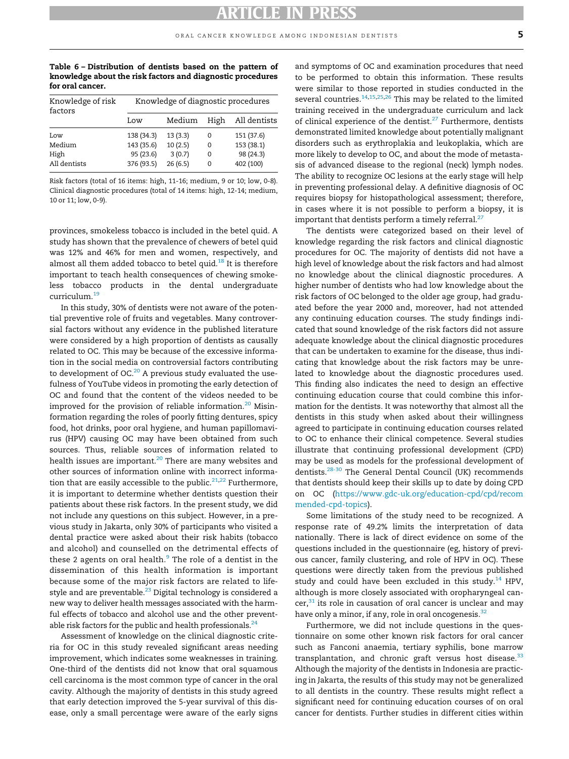<span id="page-4-0"></span>Table 6 – Distribution of dentists based on the pattern of knowledge about the risk factors and diagnostic procedures for oral cancer.

| Knowledge of risk<br>factors | Knowledge of diagnostic procedures |         |      |              |  |  |  |  |  |  |
|------------------------------|------------------------------------|---------|------|--------------|--|--|--|--|--|--|
|                              | Low                                | Medium  | High | All dentists |  |  |  |  |  |  |
| Low                          | 138 (34.3)                         | 13(3.3) | 0    | 151 (37.6)   |  |  |  |  |  |  |
| Medium                       | 143 (35.6)                         | 10(2.5) | 0    | 153 (38.1)   |  |  |  |  |  |  |
| High                         | 95 (23.6)                          | 3(0.7)  | 0    | 98 (24.3)    |  |  |  |  |  |  |
| All dentists                 | 376 (93.5)                         | 26(6.5) | 0    | 402 (100)    |  |  |  |  |  |  |

Risk factors (total of 16 items: high, 11-16; medium, 9 or 10; low, 0-8). Clinical diagnostic procedures (total of 14 items: high, 12-14; medium, 10 or 11; low, 0-9).

provinces, smokeless tobacco is included in the betel quid. A study has shown that the prevalence of chewers of betel quid was 12% and 46% for men and women, respectively, and almost all them added tobacco to betel quid. $^{18}$  $^{18}$  $^{18}$  It is therefore important to teach health consequences of chewing smokeless tobacco products in the dental undergraduate curriculum.[19](#page-5-15)

In this study, 30% of dentists were not aware of the potential preventive role of fruits and vegetables. Many controversial factors without any evidence in the published literature were considered by a high proportion of dentists as causally related to OC. This may be because of the excessive information in the social media on controversial factors contributing to development of OC. $^{20}$  $^{20}$  $^{20}$  A previous study evaluated the usefulness of YouTube videos in promoting the early detection of OC and found that the content of the videos needed to be improved for the provision of reliable information.<sup>[20](#page-5-16)</sup> Misinformation regarding the roles of poorly fitting dentures, spicy food, hot drinks, poor oral hygiene, and human papillomavirus (HPV) causing OC may have been obtained from such sources. Thus, reliable sources of information related to health issues are important.<sup>[20](#page-5-16)</sup> There are many websites and other sources of information online with incorrect information that are easily accessible to the public. $21,22$  $21,22$  Furthermore, it is important to determine whether dentists question their patients about these risk factors. In the present study, we did not include any questions on this subject. However, in a previous study in Jakarta, only 30% of participants who visited a dental practice were asked about their risk habits (tobacco and alcohol) and counselled on the detrimental effects of these 2 agents on oral health. $9$  The role of a dentist in the dissemination of this health information is important because some of the major risk factors are related to life-style and are preventable.<sup>[23](#page-5-19)</sup> Digital technology is considered a new way to deliver health messages associated with the harmful effects of tobacco and alcohol use and the other preventable risk factors for the public and health professionals. $^{24}$ 

Assessment of knowledge on the clinical diagnostic criteria for OC in this study revealed significant areas needing improvement, which indicates some weaknesses in training. One-third of the dentists did not know that oral squamous cell carcinoma is the most common type of cancer in the oral cavity. Although the majority of dentists in this study agreed that early detection improved the 5-year survival of this disease, only a small percentage were aware of the early signs and symptoms of OC and examination procedures that need to be performed to obtain this information. These results were similar to those reported in studies conducted in the several countries.<sup>[14](#page-5-12),[15](#page-5-21),[25,](#page-5-22)[26](#page-5-23)</sup> This may be related to the limited training received in the undergraduate curriculum and lack of clinical experience of the dentist.<sup>[27](#page-5-24)</sup> Furthermore, dentists demonstrated limited knowledge about potentially malignant disorders such as erythroplakia and leukoplakia, which are more likely to develop to OC, and about the mode of metastasis of advanced disease to the regional (neck) lymph nodes. The ability to recognize OC lesions at the early stage will help in preventing professional delay. A definitive diagnosis of OC requires biopsy for histopathological assessment; therefore, in cases where it is not possible to perform a biopsy, it is important that dentists perform a timely referral. $^{27}$  $^{27}$  $^{27}$ 

The dentists were categorized based on their level of knowledge regarding the risk factors and clinical diagnostic procedures for OC. The majority of dentists did not have a high level of knowledge about the risk factors and had almost no knowledge about the clinical diagnostic procedures. A higher number of dentists who had low knowledge about the risk factors of OC belonged to the older age group, had graduated before the year 2000 and, moreover, had not attended any continuing education courses. The study findings indicated that sound knowledge of the risk factors did not assure adequate knowledge about the clinical diagnostic procedures that can be undertaken to examine for the disease, thus indicating that knowledge about the risk factors may be unrelated to knowledge about the diagnostic procedures used. This finding also indicates the need to design an effective continuing education course that could combine this information for the dentists. It was noteworthy that almost all the dentists in this study when asked about their willingness agreed to participate in continuing education courses related to OC to enhance their clinical competence. Several studies illustrate that continuing professional development (CPD) may be used as models for the professional development of dentists.<sup>28-30</sup> The General Dental Council (UK) recommends that dentists should keep their skills up to date by doing CPD on OC ([https://www.gdc-uk.org/education-cpd/cpd/recom](https://www.gdc-uk.org/education-cpd/cpd/recommended-cpd-topics) [mended-cpd-topics\)](https://www.gdc-uk.org/education-cpd/cpd/recommended-cpd-topics).

Some limitations of the study need to be recognized. A response rate of 49.2% limits the interpretation of data nationally. There is lack of direct evidence on some of the questions included in the questionnaire (eg, history of previous cancer, family clustering, and role of HPV in OC). These questions were directly taken from the previous published study and could have been excluded in this study. $^{14}$  $^{14}$  $^{14}$  HPV, although is more closely associated with oropharyngeal can $cer<sup>31</sup>$  its role in causation of oral cancer is unclear and may have only a minor, if any, role in oral oncogenesis.<sup>[32](#page-6-2)</sup>

Furthermore, we did not include questions in the questionnaire on some other known risk factors for oral cancer such as Fanconi anaemia, tertiary syphilis, bone marrow transplantation, and chronic graft versus host disease. $33$ Although the majority of the dentists in Indonesia are practicing in Jakarta, the results of this study may not be generalized to all dentists in the country. These results might reflect a significant need for continuing education courses of on oral cancer for dentists. Further studies in different cities within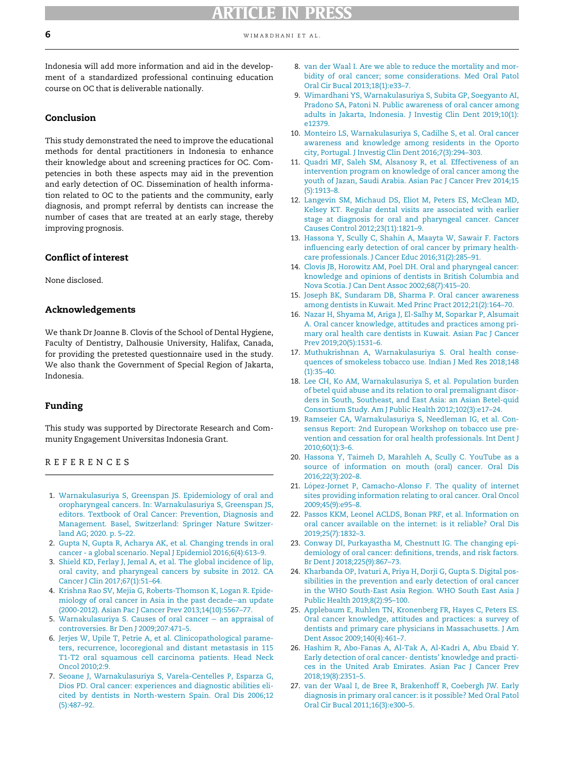<span id="page-5-8"></span>Indonesia will add more information and aid in the development of a standardized professional continuing education course on OC that is deliverable nationally.

## <span id="page-5-6"></span>Conclusion

<span id="page-5-10"></span><span id="page-5-9"></span><span id="page-5-7"></span>This study demonstrated the need to improve the educational methods for dental practitioners in Indonesia to enhance their knowledge about and screening practices for OC. Competencies in both these aspects may aid in the prevention and early detection of OC. Dissemination of health information related to OC to the patients and the community, early diagnosis, and prompt referral by dentists can increase the number of cases that are treated at an early stage, thereby improving prognosis.

## <span id="page-5-12"></span><span id="page-5-11"></span>Conflict of interest

<span id="page-5-21"></span>None disclosed.

### Acknowledgements

<span id="page-5-13"></span>We thank Dr Joanne B. Clovis of the School of Dental Hygiene, Faculty of Dentistry, Dalhousie University, Halifax, Canada, for providing the pretested questionnaire used in the study. We also thank the Government of Special Region of Jakarta, Indonesia.

### <span id="page-5-15"></span><span id="page-5-14"></span>Funding

This study was supported by Directorate Research and Community Engagement Universitas Indonesia Grant.

### <span id="page-5-16"></span>REFERENCES

- <span id="page-5-18"></span><span id="page-5-17"></span><span id="page-5-0"></span>1. [Warnakulasuriya S, Greenspan JS. Epidemiology of oral and](http://refhub.elsevier.com/S0020-6539(20)36538-2/sbref0001) [oropharyngeal cancers. In: Warnakulasuriya S, Greenspan JS,](http://refhub.elsevier.com/S0020-6539(20)36538-2/sbref0001) [editors. Textbook of Oral Cancer: Prevention, Diagnosis and](http://refhub.elsevier.com/S0020-6539(20)36538-2/sbref0001) [Management. Basel, Switzerland: Springer Nature Switzer](http://refhub.elsevier.com/S0020-6539(20)36538-2/sbref0001)[land AG; 2020. p. 5–22.](http://refhub.elsevier.com/S0020-6539(20)36538-2/sbref0001)
- <span id="page-5-19"></span><span id="page-5-1"></span>2. [Gupta N, Gupta R, Acharya AK, et al. Changing trends in oral](http://refhub.elsevier.com/S0020-6539(20)36538-2/sbref0002) [cancer - a global scenario. Nepal J Epidemiol 2016;6\(4\):613–9.](http://refhub.elsevier.com/S0020-6539(20)36538-2/sbref0002)
- <span id="page-5-20"></span><span id="page-5-2"></span>3. [Shield KD, Ferlay J, Jemal A, et al. The global incidence of lip,](http://refhub.elsevier.com/S0020-6539(20)36538-2/sbref0003) [oral cavity, and pharyngeal cancers by subsite in 2012. CA](http://refhub.elsevier.com/S0020-6539(20)36538-2/sbref0003) [Cancer J Clin 2017;67\(1\):51–64.](http://refhub.elsevier.com/S0020-6539(20)36538-2/sbref0003)
- <span id="page-5-3"></span>4. [Krishna Rao SV, Mejia G, Roberts-Thomson K, Logan R. Epide](http://refhub.elsevier.com/S0020-6539(20)36538-2/sbref0004)[miology of oral cancer in Asia in the past decade](http://refhub.elsevier.com/S0020-6539(20)36538-2/sbref0004)−an update [\(2000-2012\). Asian Pac J Cancer Prev 2013;14\(10\):5567–77.](http://refhub.elsevier.com/S0020-6539(20)36538-2/sbref0004)
- <span id="page-5-22"></span><span id="page-5-4"></span>5. [Warnakulasuriya S. Causes of oral cancer](http://refhub.elsevier.com/S0020-6539(20)36538-2/sbref0005) − an appraisal of [controversies. Br Den J 2009;207:471–5.](http://refhub.elsevier.com/S0020-6539(20)36538-2/sbref0005)
- <span id="page-5-23"></span><span id="page-5-5"></span>6. [Jerjes W, Upile T, Petrie A, et al. Clinicopathological parame](http://refhub.elsevier.com/S0020-6539(20)36538-2/sbref0006)[ters, recurrence, locoregional and distant metastasis in 115](http://refhub.elsevier.com/S0020-6539(20)36538-2/sbref0006) [T1-T2 oral squamous cell carcinoma patients. Head Neck](http://refhub.elsevier.com/S0020-6539(20)36538-2/sbref0006) [Oncol 2010;2:9.](http://refhub.elsevier.com/S0020-6539(20)36538-2/sbref0006)
- <span id="page-5-24"></span>7. [Seoane J, Warnakulasuriya S, Varela-Centelles P, Esparza G,](http://refhub.elsevier.com/S0020-6539(20)36538-2/sbref0007) [Dios PD. Oral cancer: experiences and diagnostic abilities eli](http://refhub.elsevier.com/S0020-6539(20)36538-2/sbref0007)[cited by dentists in North-western Spain. Oral Dis 2006;12](http://refhub.elsevier.com/S0020-6539(20)36538-2/sbref0007) [\(5\):487–92.](http://refhub.elsevier.com/S0020-6539(20)36538-2/sbref0007)
- 8. [van der Waal I. Are we able to reduce the mortality and mor](http://refhub.elsevier.com/S0020-6539(20)36538-2/sbref0008)[bidity of oral cancer; some considerations. Med Oral Patol](http://refhub.elsevier.com/S0020-6539(20)36538-2/sbref0008) [Oral Cir Bucal 2013;18\(1\):e33–7.](http://refhub.elsevier.com/S0020-6539(20)36538-2/sbref0008)
- 9. [Wimardhani YS, Warnakulasuriya S, Subita GP, Soegyanto AI,](http://refhub.elsevier.com/S0020-6539(20)36538-2/sbref0009) [Pradono SA, Patoni N. Public awareness of oral cancer among](http://refhub.elsevier.com/S0020-6539(20)36538-2/sbref0009) [adults in Jakarta, Indonesia. J Investig Clin Dent 2019;10\(1\):](http://refhub.elsevier.com/S0020-6539(20)36538-2/sbref0009) [e12379.](http://refhub.elsevier.com/S0020-6539(20)36538-2/sbref0009)
- 10. [Monteiro LS, Warnakulasuriya S, Cadilhe S, et al. Oral cancer](http://refhub.elsevier.com/S0020-6539(20)36538-2/sbref0010) [awareness and knowledge among residents in the Oporto](http://refhub.elsevier.com/S0020-6539(20)36538-2/sbref0010) [city, Portugal. J Investig Clin Dent 2016;7\(3\):294–303.](http://refhub.elsevier.com/S0020-6539(20)36538-2/sbref0010)
- 11. [Quadri MF, Saleh SM, Alsanosy R, et al. Effectiveness of an](http://refhub.elsevier.com/S0020-6539(20)36538-2/sbref0011) [intervention program on knowledge of oral cancer among the](http://refhub.elsevier.com/S0020-6539(20)36538-2/sbref0011) [youth of Jazan, Saudi Arabia. Asian Pac J Cancer Prev 2014;15](http://refhub.elsevier.com/S0020-6539(20)36538-2/sbref0011) [\(5\):1913–8.](http://refhub.elsevier.com/S0020-6539(20)36538-2/sbref0011)
- 12. [Langevin SM, Michaud DS, Eliot M, Peters ES, McClean MD,](http://refhub.elsevier.com/S0020-6539(20)36538-2/sbref0012) [Kelsey KT. Regular dental visits are associated with earlier](http://refhub.elsevier.com/S0020-6539(20)36538-2/sbref0012) [stage at diagnosis for oral and pharyngeal cancer. Cancer](http://refhub.elsevier.com/S0020-6539(20)36538-2/sbref0012) [Causes Control 2012;23\(11\):1821–9.](http://refhub.elsevier.com/S0020-6539(20)36538-2/sbref0012)
- 13. [Hassona Y, Scully C, Shahin A, Maayta W, Sawair F. Factors](http://refhub.elsevier.com/S0020-6539(20)36538-2/sbref0013) [influencing early detection of oral cancer by primary health](http://refhub.elsevier.com/S0020-6539(20)36538-2/sbref0013)[care professionals. J Cancer Educ 2016;31\(2\):285–91.](http://refhub.elsevier.com/S0020-6539(20)36538-2/sbref0013)
- 14. [Clovis JB, Horowitz AM, Poel DH. Oral and pharyngeal cancer:](http://refhub.elsevier.com/S0020-6539(20)36538-2/sbref0014) [knowledge and opinions of dentists in British Columbia and](http://refhub.elsevier.com/S0020-6539(20)36538-2/sbref0014) [Nova Scotia. J Can Dent Assoc 2002;68\(7\):415–20.](http://refhub.elsevier.com/S0020-6539(20)36538-2/sbref0014)
- 15. [Joseph BK, Sundaram DB, Sharma P. Oral cancer awareness](http://refhub.elsevier.com/S0020-6539(20)36538-2/sbref0015) [among dentists in Kuwait. Med Princ Pract 2012;21\(2\):164–70.](http://refhub.elsevier.com/S0020-6539(20)36538-2/sbref0015)
- 16. [Nazar H, Shyama M, Ariga J, El-Salhy M, Soparkar P, Alsumait](http://refhub.elsevier.com/S0020-6539(20)36538-2/sbref0016) [A. Oral cancer knowledge, attitudes and practices among pri](http://refhub.elsevier.com/S0020-6539(20)36538-2/sbref0016)[mary oral health care dentists in Kuwait. Asian Pac J Cancer](http://refhub.elsevier.com/S0020-6539(20)36538-2/sbref0016) [Prev 2019;20\(5\):1531–6.](http://refhub.elsevier.com/S0020-6539(20)36538-2/sbref0016)
- 17. [Muthukrishnan A, Warnakulasuriya S. Oral health conse](http://refhub.elsevier.com/S0020-6539(20)36538-2/sbref0017)[quences of smokeless tobacco use. Indian J Med Res 2018;148](http://refhub.elsevier.com/S0020-6539(20)36538-2/sbref0017)  $(1):35-40.$
- 18. [Lee CH, Ko AM, Warnakulasuriya S, et al. Population burden](http://refhub.elsevier.com/S0020-6539(20)36538-2/sbref0018) [of betel quid abuse and its relation to oral premalignant disor](http://refhub.elsevier.com/S0020-6539(20)36538-2/sbref0018)[ders in South, Southeast, and East Asia: an Asian Betel-quid](http://refhub.elsevier.com/S0020-6539(20)36538-2/sbref0018) [Consortium Study. Am J Public Health 2012;102\(3\):e17–24.](http://refhub.elsevier.com/S0020-6539(20)36538-2/sbref0018)
- 19. [Ramseier CA, Warnakulasuriya S, Needleman IG, et al. Con](http://refhub.elsevier.com/S0020-6539(20)36538-2/sbref0019)[sensus Report: 2nd European Workshop on tobacco use pre](http://refhub.elsevier.com/S0020-6539(20)36538-2/sbref0019)[vention and cessation for oral health professionals. Int Dent J](http://refhub.elsevier.com/S0020-6539(20)36538-2/sbref0019) [2010;60\(1\):3–6.](http://refhub.elsevier.com/S0020-6539(20)36538-2/sbref0019)
- 20. [Hassona Y, Taimeh D, Marahleh A, Scully C. YouTube as a](http://refhub.elsevier.com/S0020-6539(20)36538-2/sbref0020) [source of information on mouth \(oral\) cancer. Oral Dis](http://refhub.elsevier.com/S0020-6539(20)36538-2/sbref0020) [2016;22\(3\):202–8.](http://refhub.elsevier.com/S0020-6539(20)36538-2/sbref0020)
- 21. López-Jornet P, Camacho-Alonso F. The quality of internet [sites providing information relating to oral cancer. Oral Oncol](http://refhub.elsevier.com/S0020-6539(20)36538-2/sbref0021) [2009;45\(9\):e95–8.](http://refhub.elsevier.com/S0020-6539(20)36538-2/sbref0021)
- 22. [Passos KKM, Leonel ACLDS, Bonan PRF, et al. Information on](http://refhub.elsevier.com/S0020-6539(20)36538-2/sbref0022) [oral cancer available on the internet: is it reliable? Oral Dis](http://refhub.elsevier.com/S0020-6539(20)36538-2/sbref0022) [2019;25\(7\):1832–3.](http://refhub.elsevier.com/S0020-6539(20)36538-2/sbref0022)
- 23. [Conway DI, Purkayastha M, Chestnutt IG. The changing epi](http://refhub.elsevier.com/S0020-6539(20)36538-2/sbref0023)[demiology of oral cancer: definitions, trends, and risk factors.](http://refhub.elsevier.com/S0020-6539(20)36538-2/sbref0023) [Br Dent J 2018;225\(9\):867–73.](http://refhub.elsevier.com/S0020-6539(20)36538-2/sbref0023)
- 24. [Kharbanda OP, Ivaturi A, Priya H, Dorji G, Gupta S. Digital pos](http://refhub.elsevier.com/S0020-6539(20)36538-2/sbref0024)[sibilities in the prevention and early detection of oral cancer](http://refhub.elsevier.com/S0020-6539(20)36538-2/sbref0024) [in the WHO South-East Asia Region. WHO South East Asia J](http://refhub.elsevier.com/S0020-6539(20)36538-2/sbref0024) [Public Health 2019;8\(2\):95–100.](http://refhub.elsevier.com/S0020-6539(20)36538-2/sbref0024)
- 25. [Applebaum E, Ruhlen TN, Kronenberg FR, Hayes C, Peters ES.](http://refhub.elsevier.com/S0020-6539(20)36538-2/sbref0025) [Oral cancer knowledge, attitudes and practices: a survey of](http://refhub.elsevier.com/S0020-6539(20)36538-2/sbref0025) [dentists and primary care physicians in Massachusetts. J Am](http://refhub.elsevier.com/S0020-6539(20)36538-2/sbref0025) [Dent Assoc 2009;140\(4\):461–7.](http://refhub.elsevier.com/S0020-6539(20)36538-2/sbref0025)
- 26. [Hashim R, Abo-Fanas A, Al-Tak A, Al-Kadri A, Abu Ebaid Y.](http://refhub.elsevier.com/S0020-6539(20)36538-2/sbref0026) [Early detection of oral cancer- dentists' knowledge and practi](http://refhub.elsevier.com/S0020-6539(20)36538-2/sbref0026)[ces in the United Arab Emirates. Asian Pac J Cancer Prev](http://refhub.elsevier.com/S0020-6539(20)36538-2/sbref0026) [2018;19\(8\):2351–5.](http://refhub.elsevier.com/S0020-6539(20)36538-2/sbref0026)
- 27. [van der Waal I, de Bree R, Brakenhoff R, Coebergh JW. Early](http://refhub.elsevier.com/S0020-6539(20)36538-2/sbref0027) [diagnosis in primary oral cancer: is it possible? Med Oral Patol](http://refhub.elsevier.com/S0020-6539(20)36538-2/sbref0027) [Oral Cir Bucal 2011;16\(3\):e300–5.](http://refhub.elsevier.com/S0020-6539(20)36538-2/sbref0027)